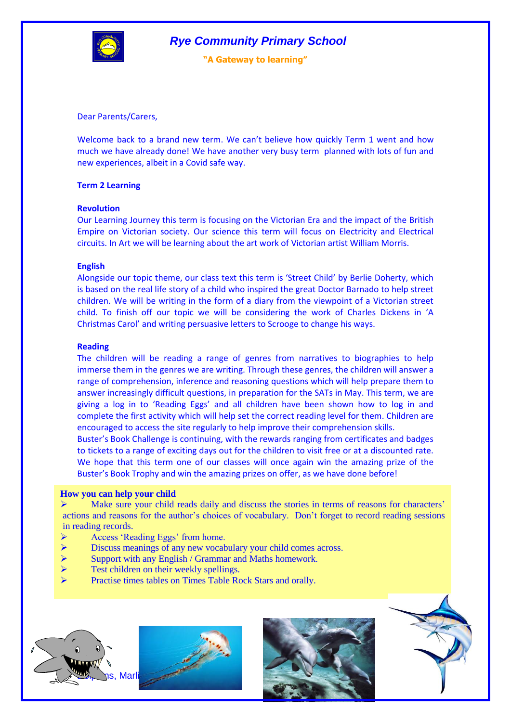

**"A Gateway to learning"**

Dear Parents/Carers,

Welcome back to a brand new term. We can't believe how quickly Term 1 went and how much we have already done! We have another very busy term planned with lots of fun and new experiences, albeit in a Covid safe way.

# **Term 2 Learning**

## **Revolution**

Our Learning Journey this term is focusing on the Victorian Era and the impact of the British Empire on Victorian society. Our science this term will focus on Electricity and Electrical circuits. In Art we will be learning about the art work of Victorian artist William Morris.

## **English**

Alongside our topic theme, our class text this term is 'Street Child' by Berlie Doherty, which is based on the real life story of a child who inspired the great Doctor Barnado to help street children. We will be writing in the form of a diary from the viewpoint of a Victorian street child. To finish off our topic we will be considering the work of Charles Dickens in 'A Christmas Carol' and writing persuasive letters to Scrooge to change his ways.

## **Reading**

The children will be reading a range of genres from narratives to biographies to help immerse them in the genres we are writing. Through these genres, the children will answer a range of comprehension, inference and reasoning questions which will help prepare them to answer increasingly difficult questions, in preparation for the SATs in May. This term, we are giving a log in to 'Reading Eggs' and all children have been shown how to log in and complete the first activity which will help set the correct reading level for them. Children are encouraged to access the site regularly to help improve their comprehension skills.

Buster's Book Challenge is continuing, with the rewards ranging from certificates and badges to tickets to a range of exciting days out for the children to visit free or at a discounted rate. We hope that this term one of our classes will once again win the amazing prize of the Buster's Book Trophy and win the amazing prizes on offer, as we have done before!

### **How you can help your child**

 $\triangleright$  Make sure your child reads daily and discuss the stories in terms of reasons for characters' actions and reasons for the author's choices of vocabulary. Don't forget to record reading sessions in reading records.

- Access 'Reading Eggs' from home.
- Discuss meanings of any new vocabulary your child comes across.
- Support with any English / Grammar and Maths homework.
- Test children on their weekly spellings.
- Practise times tables on Times Table Rock Stars and orally.